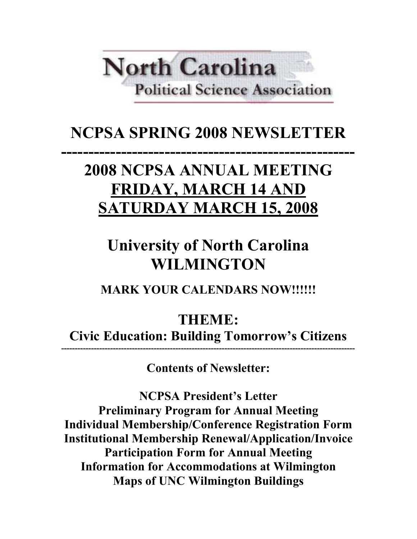# **North Carolina Political Science Association**

## NCPSA SPRING 2008 NEWSLETTER

## ------------------------------------------------------ 2008 NCPSA ANNUAL MEETING FRIDAY, MARCH 14 AND SATURDAY MARCH 15, 2008

## University of North Carolina WILMINGTON

MARK YOUR CALENDARS NOW!!!!!!

THEME:

Civic Education: Building Tomorrow's Citizens ------------------------------------------------------------------------------------------------------------

Contents of Newsletter:

NCPSA President's Letter Preliminary Program for Annual Meeting Individual Membership/Conference Registration Form Institutional Membership Renewal/Application/Invoice Participation Form for Annual Meeting Information for Accommodations at Wilmington Maps of UNC Wilmington Buildings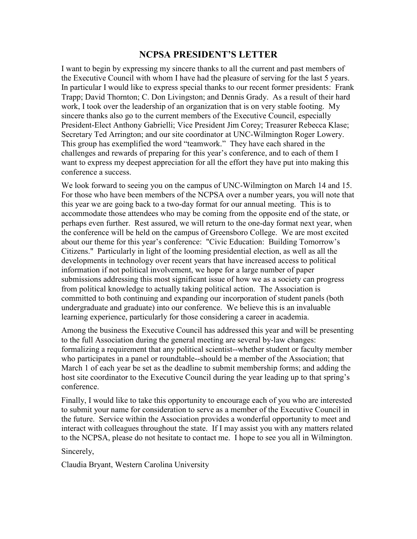## NCPSA PRESIDENT'S LETTER

I want to begin by expressing my sincere thanks to all the current and past members of the Executive Council with whom I have had the pleasure of serving for the last 5 years. In particular I would like to express special thanks to our recent former presidents: Frank Trapp; David Thornton; C. Don Livingston; and Dennis Grady. As a result of their hard work, I took over the leadership of an organization that is on very stable footing. My sincere thanks also go to the current members of the Executive Council, especially President-Elect Anthony Gabrielli; Vice President Jim Corey; Treasurer Rebecca Klase; Secretary Ted Arrington; and our site coordinator at UNC-Wilmington Roger Lowery. This group has exemplified the word "teamwork." They have each shared in the challenges and rewards of preparing for this year's conference, and to each of them I want to express my deepest appreciation for all the effort they have put into making this conference a success.

We look forward to seeing you on the campus of UNC-Wilmington on March 14 and 15. For those who have been members of the NCPSA over a number years, you will note that this year we are going back to a two-day format for our annual meeting. This is to accommodate those attendees who may be coming from the opposite end of the state, or perhaps even further. Rest assured, we will return to the one-day format next year, when the conference will be held on the campus of Greensboro College. We are most excited about our theme for this year's conference: "Civic Education: Building Tomorrow's Citizens." Particularly in light of the looming presidential election, as well as all the developments in technology over recent years that have increased access to political information if not political involvement, we hope for a large number of paper submissions addressing this most significant issue of how we as a society can progress from political knowledge to actually taking political action. The Association is committed to both continuing and expanding our incorporation of student panels (both undergraduate and graduate) into our conference. We believe this is an invaluable learning experience, particularly for those considering a career in academia.

Among the business the Executive Council has addressed this year and will be presenting to the full Association during the general meeting are several by-law changes: formalizing a requirement that any political scientist--whether student or faculty member who participates in a panel or roundtable--should be a member of the Association; that March 1 of each year be set as the deadline to submit membership forms; and adding the host site coordinator to the Executive Council during the year leading up to that spring's conference.

Finally, I would like to take this opportunity to encourage each of you who are interested to submit your name for consideration to serve as a member of the Executive Council in the future. Service within the Association provides a wonderful opportunity to meet and interact with colleagues throughout the state. If I may assist you with any matters related to the NCPSA, please do not hesitate to contact me. I hope to see you all in Wilmington.

Sincerely,

Claudia Bryant, Western Carolina University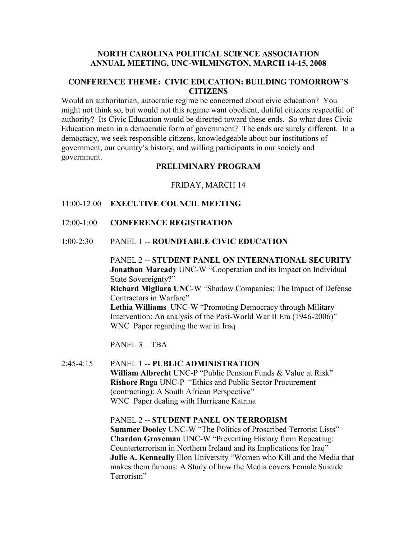### NORTH CAROLINA POLITICAL SCIENCE ASSOCIATION ANNUAL MEETING, UNC-WILMINGTON, MARCH 14-15, 2008

## CONFERENCE THEME: CIVIC EDUCATION: BUILDING TOMORROW'S **CITIZENS**

Would an authoritarian, autocratic regime be concerned about civic education? You might not think so, but would not this regime want obedient, dutiful citizens respectful of authority? Its Civic Education would be directed toward these ends. So what does Civic Education mean in a democratic form of government? The ends are surely different. In a democracy, we seek responsible citizens, knowledgeable about our institutions of government, our country's history, and willing participants in our society and government.

## PRELIMINARY PROGRAM

FRIDAY, MARCH 14

- 11:00-12:00 EXECUTIVE COUNCIL MEETING
- 12:00-1:00 CONFERENCE REGISTRATION
- 1:00-2:30 PANEL 1 -- ROUNDTABLE CIVIC EDUCATION

PANEL 2 -- STUDENT PANEL ON INTERNATIONAL SECURITY Jonathan Maready UNC-W "Cooperation and its Impact on Individual State Sovereignty?" Richard Migliara UNC-W "Shadow Companies: The Impact of Defense Contractors in Warfare" Lethia Williams UNC-W "Promoting Democracy through Military Intervention: An analysis of the Post-World War II Era (1946-2006)" WNC Paper regarding the war in Iraq

PANEL 3 – TBA

2:45-4:15 PANEL 1 -- PUBLIC ADMINISTRATION William Albrecht UNC-P "Public Pension Funds & Value at Risk" Rishore Raga UNC-P "Ethics and Public Sector Procurement (contracting): A South African Perspective" WNC Paper dealing with Hurricane Katrina

> PANEL 2 -- STUDENT PANEL ON TERRORISM Summer Dooley UNC-W "The Politics of Proscribed Terrorist Lists" Chardon Groveman UNC-W "Preventing History from Repeating: Counterterrorism in Northern Ireland and its Implications for Iraq" Julie A. Kenneally Elon University "Women who Kill and the Media that makes them famous: A Study of how the Media covers Female Suicide Terrorism"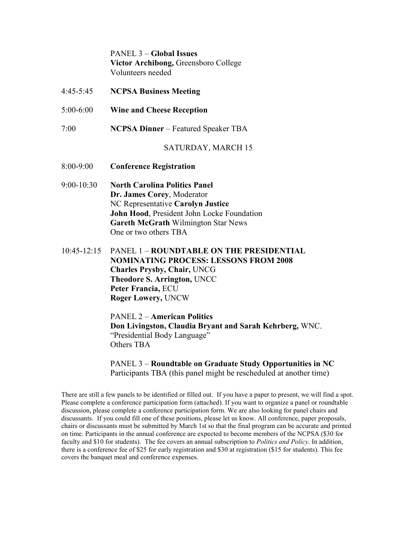PANEL 3 – Global Issues Victor Archibong, Greensboro College Volunteers needed

- 4:45-5:45 NCPSA Business Meeting
- 5:00-6:00 Wine and Cheese Reception
- 7:00 NCPSA Dinner Featured Speaker TBA

### SATURDAY, MARCH 15

- 8:00-9:00 Conference Registration
- 9:00-10:30 North Carolina Politics Panel Dr. James Corey, Moderator NC Representative Carolyn Justice John Hood, President John Locke Foundation Gareth McGrath Wilmington Star News One or two others TBA
- 10:45-12:15 PANEL 1 ROUNDTABLE ON THE PRESIDENTIAL NOMINATING PROCESS: LESSONS FROM 2008 Charles Prysby, Chair, UNCG Theodore S. Arrington, UNCC Peter Francia, ECU Roger Lowery, UNCW

 PANEL 2 – American Politics Don Livingston, Claudia Bryant and Sarah Kehrberg, WNC. "Presidential Body Language" Others TBA

 PANEL 3 – Roundtable on Graduate Study Opportunities in NC Participants TBA (this panel might be rescheduled at another time)

There are still a few panels to be identified or filled out. If you have a paper to present, we will find a spot. Please complete a conference participation form (attached). If you want to organize a panel or roundtable discussion, please complete a conference participation form. We are also looking for panel chairs and discussants. If you could fill one of these positions, please let us know. All conference, paper proposals, chairs or discussants must be submitted by March 1st so that the final program can be accurate and printed on time. Participants in the annual conference are expected to become members of the NCPSA (\$30 for faculty and \$10 for students). The fee covers an annual subscription to *Politics and Policy*. In addition, there is a conference fee of \$25 for early registration and \$30 at registration (\$15 for students). This fee covers the banquet meal and conference expenses.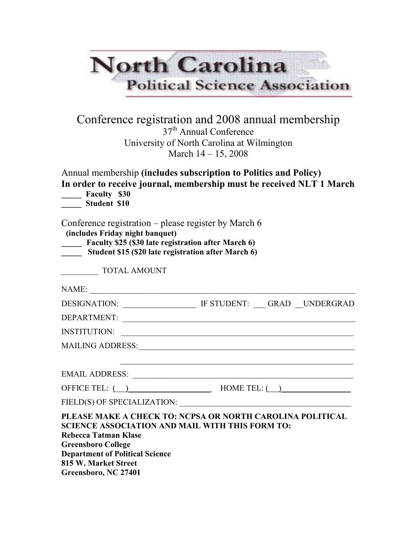|                                                                                                     | <b>Political Science Association</b>                                                                                                                             |
|-----------------------------------------------------------------------------------------------------|------------------------------------------------------------------------------------------------------------------------------------------------------------------|
|                                                                                                     | Conference registration and 2008 annual membership<br>37 <sup>th</sup> Annual Conference<br>University of North Carolina at Wilmington<br>March $14 - 15$ , 2008 |
| Faculty \$30                                                                                        | Annual membership (includes subscription to Politics and Policy)<br>In order to receive journal, membership must be received NLT 1 March                         |
| <b>Student \$10</b>                                                                                 |                                                                                                                                                                  |
| (includes Friday night banquet)<br><b>TOTAL AMOUNT</b>                                              | Faculty \$25 (\$30 late registration after March 6)<br>Student \$15 (\$20 late registration after March 6)                                                       |
|                                                                                                     |                                                                                                                                                                  |
|                                                                                                     | DESIGNATION: IF STUDENT: GRAD UNDERGRAD                                                                                                                          |
|                                                                                                     |                                                                                                                                                                  |
|                                                                                                     |                                                                                                                                                                  |
| Conference registration – please register by March 6<br>NAME:<br>DEPARTMENT:<br><b>INSTITUTION:</b> |                                                                                                                                                                  |
|                                                                                                     |                                                                                                                                                                  |
|                                                                                                     | OFFICE TEL: $\qquad \qquad$ HOME TEL: $\qquad \qquad$                                                                                                            |

815 W. Market Street Greensboro, NC 27401

Department of Political Science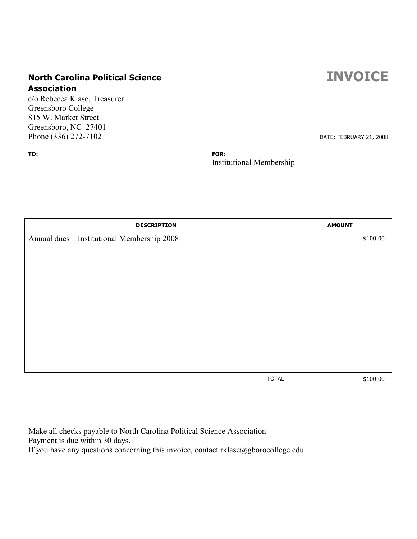## North Carolina Political Science **INVOICE** Association

c/o Rebecca Klase, Treasurer Greensboro College 815 W. Market Street Greensboro, NC 27401 Phone (336) 272-7102 DATE: FEBRUARY 21, 2008

TO: FOR:

Institutional Membership

| <b>DESCRIPTION</b>                          | <b>AMOUNT</b> |
|---------------------------------------------|---------------|
| Annual dues - Institutional Membership 2008 | \$100.00      |
|                                             |               |
|                                             |               |
|                                             |               |
|                                             |               |
|                                             |               |
|                                             |               |
|                                             |               |
|                                             |               |
|                                             |               |
| <b>TOTAL</b>                                | \$100.00      |

Make all checks payable to North Carolina Political Science Association Payment is due within 30 days. If you have any questions concerning this invoice, contact rklase@gborocollege.edu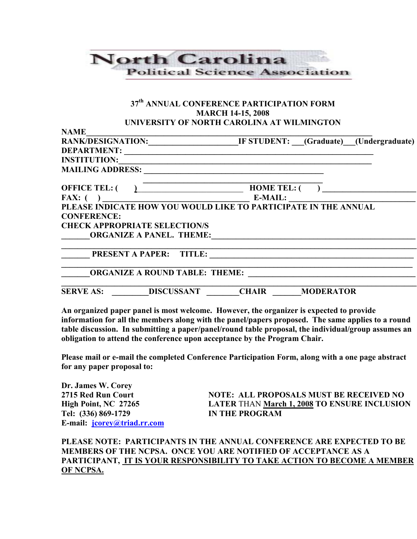## **North Carolina Political Science Association**

## 37<sup>th</sup> ANNUAL CONFERENCE PARTICIPATION FORM MARCH 14-15, 2008 UNIVERSITY OF NORTH CAROLINA AT WILMINGTON

| <b>NAME</b>              |                                                                                 |              |                  |                                        |
|--------------------------|---------------------------------------------------------------------------------|--------------|------------------|----------------------------------------|
| <b>RANK/DESIGNATION:</b> |                                                                                 |              |                  | IF STUDENT: (Graduate) (Undergraduate) |
| <b>DEPARTMENT:</b>       |                                                                                 |              |                  |                                        |
| <b>INSTITUTION:</b>      |                                                                                 |              |                  |                                        |
| <b>MAILING ADDRESS:</b>  |                                                                                 |              |                  |                                        |
| <b>OFFICE TEL: (</b>     |                                                                                 |              | HOME TEL: $($ )  |                                        |
|                          |                                                                                 |              |                  |                                        |
|                          | FAX: () E-MAIL: ELEASE INDICATE HOW YOU WOULD LIKE TO PARTICIPATE IN THE ANNUAL |              |                  |                                        |
| <b>CONFERENCE:</b>       |                                                                                 |              |                  |                                        |
|                          | <b>CHECK APPROPRIATE SELECTION/S</b>                                            |              |                  |                                        |
|                          | <b>ORGANIZE A PANEL. THEME:</b>                                                 |              |                  |                                        |
|                          | <b>PRESENT A PAPER:</b><br><b>TITLE:</b>                                        |              |                  |                                        |
|                          | <b>ORGANIZE A ROUND TABLE: THEME:</b>                                           |              |                  |                                        |
| <b>SERVE AS:</b>         | <b>DISCUSSANT</b>                                                               | <b>CHAIR</b> | <b>MODERATOR</b> |                                        |

An organized paper panel is most welcome. However, the organizer is expected to provide information for all the members along with the panel/papers proposed. The same applies to a round table discussion. In submitting a paper/panel/round table proposal, the individual/group assumes an obligation to attend the conference upon acceptance by the Program Chair.

Please mail or e-mail the completed Conference Participation Form, along with a one page abstract for any paper proposal to:

Dr. James W. Corey Tel: (336) 869-1729 IN THE PROGRAM E-mail: jcorey@triad.rr.com

NOTE: ALL PROPOSALS MUST BE RECEIVED NO High Point, NC 27265 LATER THAN March 1, 2008 TO ENSURE INCLUSION

PLEASE NOTE: PARTICIPANTS IN THE ANNUAL CONFERENCE ARE EXPECTED TO BE MEMBERS OF THE NCPSA. ONCE YOU ARE NOTIFIED OF ACCEPTANCE AS A PARTICIPANT, IT IS YOUR RESPONSIBILITY TO TAKE ACTION TO BECOME A MEMBER OF NCPSA.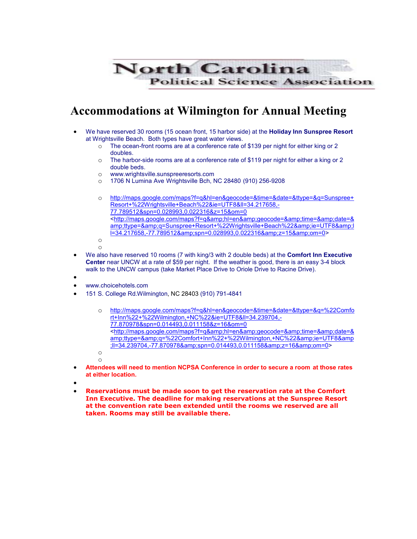

## Accommodations at Wilmington for Annual Meeting

- We have reserved 30 rooms (15 ocean front, 15 harbor side) at the Holiday Inn Sunspree Resort at Wrightsville Beach. Both types have great water views.
	- o The ocean-front rooms are at a conference rate of \$139 per night for either king or 2 doubles.
	- o The harbor-side rooms are at a conference rate of \$119 per night for either a king or 2 double beds.
	- o www.wrightsville.sunspreeresorts.com
	- o 1706 N Lumina Ave Wrightsville Bch, NC 28480 (910) 256-9208
	- o http://maps.google.com/maps?f=q&hl=en&geocode=&time=&date=&ttype=&q=Sunspree+ Resort+%22Wrightsville+Beach%22&ie=UTF8&ll=34.217658,- 77.789512&spn=0.028993,0.022316&z=15&om=0 <http://maps.google.com/maps?f=q&amp;hl=en&amp;geocode=&amp;time=&amp;date=& amp;ttype=&q=Sunspree+Resort+%22Wrightsville+Beach%22&ie=UTF8&l l=34.217658,-77.789512&spn=0.028993,0.022316&z=15&om=0> o
	- o
- We also have reserved 10 rooms (7 with king/3 with 2 double beds) at the **Comfort Inn Executive** Center near UNCW at a rate of \$59 per night. If the weather is good, there is an easy 3-4 block walk to the UNCW campus (take Market Place Drive to Oriole Drive to Racine Drive).
- •
- www.choicehotels.com
- 151 S. College Rd.Wilmington, NC 28403 (910) 791-4841
	- o http://maps.google.com/maps?f=q&hl=en&geocode=&time=&date=&ttype=&q=%22Comfo rt+Inn%22+%22Wilmington,+NC%22&ie=UTF8&ll=34.239704,- 77.870978&spn=0.014493,0.011158&z=16&om=0 <http://maps.google.com/maps?f=q&amp;hl=en&amp;geocode=&amp;time=&amp;date=& amp;ttype=&q=%22Comfort+Inn%22+%22Wilmington,+NC%22&ie=UTF8&amp ;ll=34.239704,-77.870978&spn=0.014493,0.011158&z=16&om=0> o

o

- Attendees will need to mention NCPSA Conference in order to secure a room at those rates at either location.
- •
- Reservations must be made soon to get the reservation rate at the Comfort Inn Executive. The deadline for making reservations at the Sunspree Resort at the convention rate been extended until the rooms we reserved are all taken. Rooms may still be available there.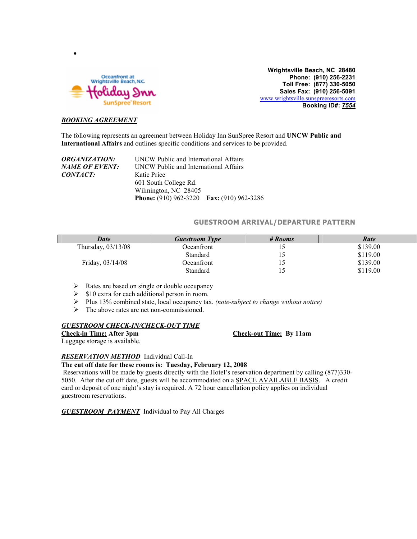

Wrightsville Beach, NC 28480 Phone: (910) 256-2231 Toll Free: (877) 330-5050 Sales Fax: (910) 256-5091 www.wrightsville.sunspreeresorts.com Booking ID#: 7554

### BOOKING AGREEMENT

•

The following represents an agreement between Holiday Inn SunSpree Resort and UNCW Public and International Affairs and outlines specific conditions and services to be provided.

| <b>ORGANIZATION:</b> | UNCW Public and International Affairs     |  |  |  |
|----------------------|-------------------------------------------|--|--|--|
| NAME OF EVENT:       | UNCW Public and International Affairs     |  |  |  |
| <i>CONTACT:</i>      | Katie Price                               |  |  |  |
|                      | 601 South College Rd.                     |  |  |  |
|                      | Wilmington, NC 28405                      |  |  |  |
|                      | Phone: (910) 962-3220 Fax: (910) 962-3286 |  |  |  |

### GUESTROOM ARRIVAL/DEPARTURE PATTERN

| <b>Date</b>          | <b>Guestroom Type</b> | # Rooms | Rate     |
|----------------------|-----------------------|---------|----------|
| Thursday, $03/13/08$ | Oceanfront            | 10      | \$139.00 |
|                      | Standard              | 10      | \$119.00 |
| Friday, 03/14/08     | Oceanfront            | 15      | \$139.00 |
|                      | Standard              | 15      | \$119.00 |

- $\triangleright$  Rates are based on single or double occupancy
- $\triangleright$  \$10 extra for each additional person in room.
- $\triangleright$  Plus 13% combined state, local occupancy tax. (note-subject to change without notice)
- $\triangleright$  The above rates are net non-commissioned.

## **GUESTROOM CHECK-IN/CHECK-OUT TIME**<br>Check-in Time: After 3pm

Luggage storage is available.

Check-out Time: By 11am

### **RESERVATION METHOD** Individual Call-In

### The cut off date for these rooms is: Tuesday, February 12, 2008

 Reservations will be made by guests directly with the Hotel's reservation department by calling (877)330- 5050. After the cut off date, guests will be accommodated on a SPACE AVAILABLE BASIS. A credit card or deposit of one night's stay is required. A 72 hour cancellation policy applies on individual guestroom reservations.

**GUESTROOM PAYMENT** Individual to Pay All Charges